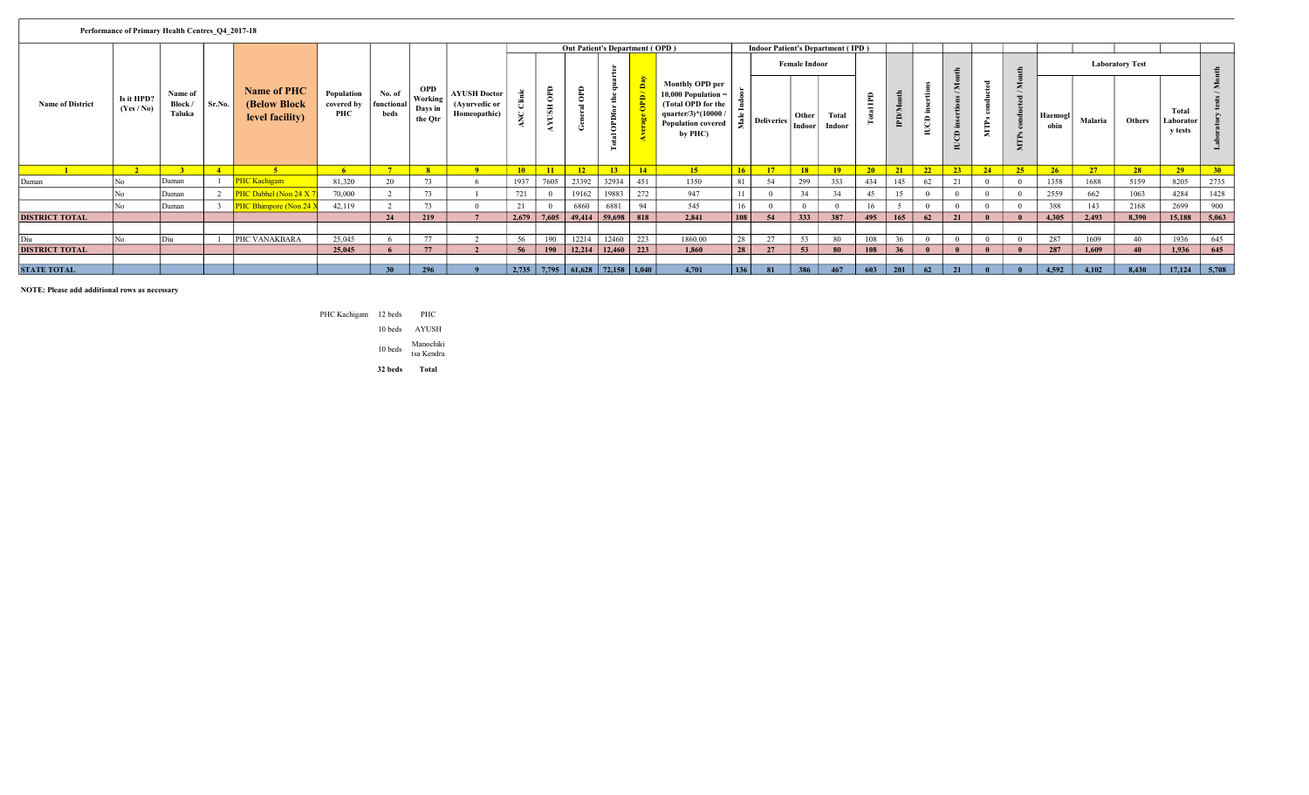| Performance of Primary Health Centres O4 2017-18<br><b>Out Patient's Department (OPD)</b> |                          |                              |        |                                                 |                                 |                              |                                             |                                                      |               |                      |                                           |                   |                                    |                                                                                                                               |                 |                                          |                      |                 |                                 |                |                       |                  |             |                       |                |         |                        |                                      |                 |
|-------------------------------------------------------------------------------------------|--------------------------|------------------------------|--------|-------------------------------------------------|---------------------------------|------------------------------|---------------------------------------------|------------------------------------------------------|---------------|----------------------|-------------------------------------------|-------------------|------------------------------------|-------------------------------------------------------------------------------------------------------------------------------|-----------------|------------------------------------------|----------------------|-----------------|---------------------------------|----------------|-----------------------|------------------|-------------|-----------------------|----------------|---------|------------------------|--------------------------------------|-----------------|
|                                                                                           |                          |                              |        |                                                 |                                 |                              |                                             |                                                      |               |                      |                                           |                   |                                    |                                                                                                                               |                 | <b>Indoor Patient's Department (IPD)</b> |                      |                 |                                 |                |                       |                  |             |                       |                |         |                        |                                      |                 |
|                                                                                           |                          |                              |        |                                                 |                                 |                              |                                             |                                                      |               |                      |                                           |                   |                                    |                                                                                                                               |                 |                                          | <b>Female Indoor</b> |                 |                                 |                |                       |                  |             |                       |                |         | <b>Laboratory Test</b> |                                      | th              |
| <b>Name of District</b>                                                                   | Is it HPD?<br>(Yes / No) | Name of<br>Block /<br>Taluka | Sr.No. | Name of PHC<br>(Below Block)<br>level facility) | Population<br>covered by<br>PHC | No. of<br>functional<br>beds | <b>OPD</b><br>Working<br>Days in<br>the Qtr | <b>AYUSH Doctor</b><br>(Ayurvedic or<br>Homeopathic) |               | OPD<br>USH<br>≻<br>у | <b>GaO</b><br>ٿ                           | <b>OPDf</b>       | ੇ<br>÷                             | Monthly OPD per<br>$10,000$ Population =<br>(Total OPD for the<br>quarter/3 $*(10000$<br><b>Population covered</b><br>by PHC) |                 | <b>Deliveries</b>                        | Other<br>Indoor      | Total<br>Indoor | $\blacksquare$<br>自<br>$\equiv$ | <b>IPD/Mon</b> | $\triangleright$<br>g | $\triangleright$ | ≂<br>►<br>₹ | Σ<br>MTP <sub>3</sub> | Haemog<br>obin | Malaria | Others                 | Total<br>Laborator<br><b>v</b> tests |                 |
|                                                                                           | $\overline{2}$           |                              | $-4$   | $\sim$                                          | -6                              |                              | 8 <sup>1</sup>                              | $\overline{\mathbf{q}}$                              | 10            | 11                   | 12                                        | 13                | 14                                 | 15                                                                                                                            | 16 <sup>2</sup> | 17                                       | $\sqrt{18}$          | 19              | 20                              | 21             | 22                    | 23               | 24          | 25                    | 26             | 27      | 28                     | 29                                   | 30 <sub>2</sub> |
| Daman                                                                                     |                          | Daman                        |        | <b>PHC Kachigam</b>                             | 81,320                          | 20                           | 73                                          | 6                                                    | 1937          | 7605                 | 23392                                     | 32934             | 451                                | 1350                                                                                                                          | 81              | 54                                       | 299                  | 353             | 434                             | 145            | 62                    |                  |             |                       | 1358           | 1688    | 5159                   | 8205                                 | 2735            |
|                                                                                           |                          | Daman                        | 2      | PHC Dabhel (Non 24 X 7                          | 70,000                          |                              | 73                                          |                                                      | 721           |                      | 19162                                     | 19883             | 272                                | 947                                                                                                                           |                 |                                          | 34                   | 34              | 45                              |                |                       |                  |             |                       | 2559           | 662     | 1063                   | 4284                                 | 1428            |
|                                                                                           |                          | Daman                        |        | PHC Bhimpore (Non 24 Y                          | 42,119                          |                              | 73                                          | $\Omega$                                             |               |                      | 6860                                      | 6881              | 94                                 | 545                                                                                                                           | 16              |                                          | $\Omega$             |                 | 16                              |                |                       |                  |             |                       | 388            | 143     | 2168                   | 2699                                 | 900             |
| <b>DISTRICT TOTAL</b>                                                                     |                          |                              |        |                                                 |                                 | 24                           | 219                                         | $\mathbf{z}$                                         | $2,679$ 7,605 |                      | 49,414                                    | 59,698            | 818                                | 2.841                                                                                                                         | 108             | 54                                       | 333                  | 387             | 495                             | 165            | 62                    | 21               |             |                       | 4,305          | 2,493   | 8,390                  | 15,188                               | 5,063           |
|                                                                                           |                          |                              |        |                                                 |                                 |                              |                                             |                                                      |               |                      |                                           |                   |                                    |                                                                                                                               |                 |                                          |                      |                 |                                 |                |                       |                  |             |                       |                |         |                        |                                      |                 |
| Diu                                                                                       |                          | Diu                          |        | PHC VANAKBARA                                   | 25,045                          |                              | 77                                          |                                                      | 56            | 190                  | 12214                                     | 12460             | 223                                | 1860.00                                                                                                                       | 28              | 27                                       | 53                   | 80              | 108                             | 36             | $\Omega$              |                  |             |                       | 287            | 1609    | 40 <sup>1</sup>        | 1936                                 | 645             |
| <b>DISTRICT TOTAL</b>                                                                     |                          |                              |        |                                                 | 25,045                          |                              | 77                                          | $\mathcal{L}$                                        | 56            | <b>190</b>           |                                           | $12,214$   12,460 | $\begin{array}{c} 223 \end{array}$ | 1,860                                                                                                                         | 28              | 27                                       | 53                   | 80              | 108                             | 36             |                       |                  |             |                       | 287            | 1.609   | 40                     | 1,936                                | 645             |
|                                                                                           |                          |                              |        |                                                 |                                 |                              |                                             |                                                      |               |                      |                                           |                   |                                    |                                                                                                                               |                 |                                          |                      |                 |                                 |                |                       |                  |             |                       |                |         |                        |                                      |                 |
| <b>STATE TOTAL</b>                                                                        |                          |                              |        |                                                 |                                 | 30                           | 296                                         |                                                      |               |                      | $2,735$   7,795   61,628   72,158   1,040 |                   |                                    | 4,701                                                                                                                         | 136             | 81                                       | 386                  | 467             | 603                             | 201            | 62                    | 21               |             |                       | 4,592          | 4,102   | 8,430                  | 17,124                               | 5,708           |

NOTE: Please add additional rows as necessary

PHC Kachigam 12 beds PHC

 $10\;\mbox{beds}\;$   $\;$  AYUSH

Manochiki  $10$  beds tsa Kendra

32 beds Total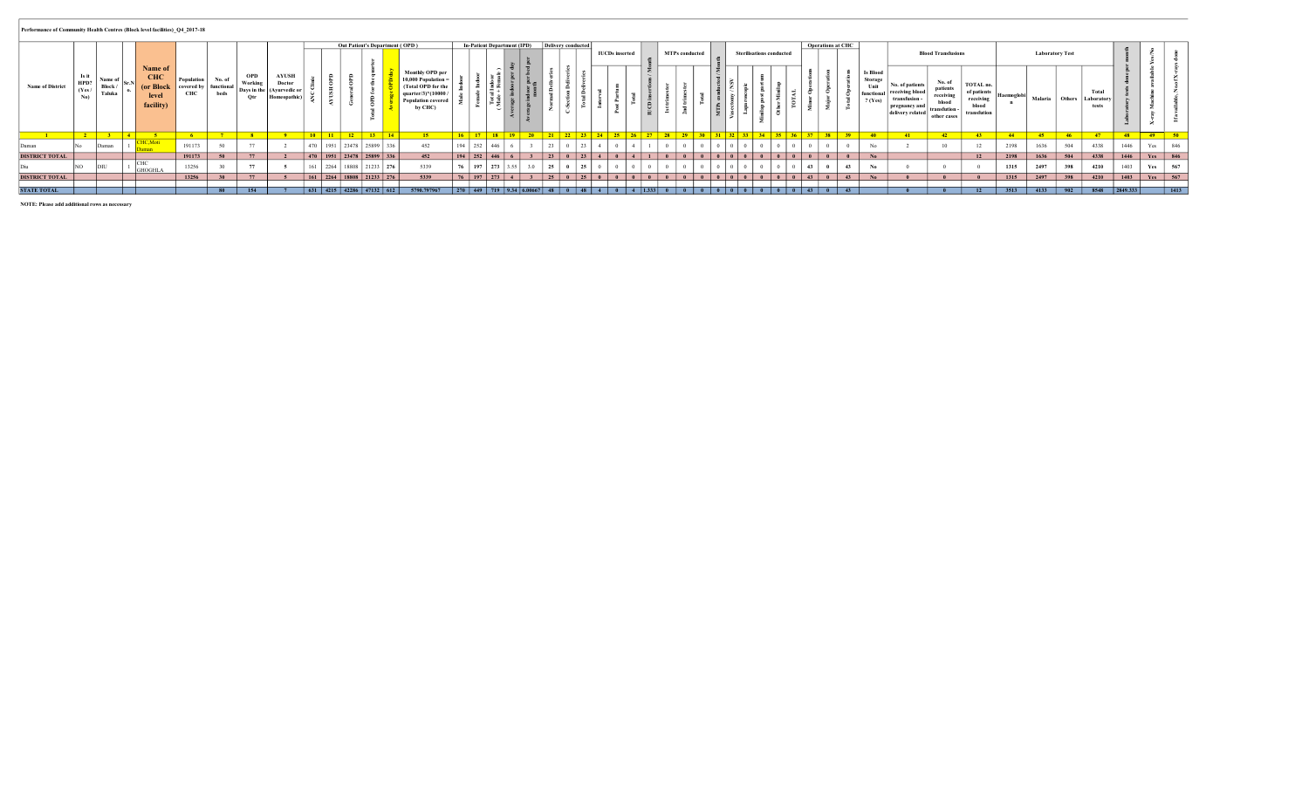## Performance of Community Health Centres (Block level facilities)\_Q4\_2017-18

|                         |                |                                   |                                                     |                                                   |                           |                              |                                                       |     |           |                                                                                                     |                        | Out Patient's Department (OPD)                                                                                                | In-Patient Department (IPD) Delivery conducted |                                |               |                       | <b>IUCDs</b> inserted |                        |                                                   | <b>MTPs</b> conducted |                             | <b>Sterilisations conducted</b> |               | Operations at CHC |             |                                                                      |                                                                                               | <b>Blood Transfusions</b>                                              |                                                               |            |                | <b>Laboratory Test</b> |                             |          |        |       |
|-------------------------|----------------|-----------------------------------|-----------------------------------------------------|---------------------------------------------------|---------------------------|------------------------------|-------------------------------------------------------|-----|-----------|-----------------------------------------------------------------------------------------------------|------------------------|-------------------------------------------------------------------------------------------------------------------------------|------------------------------------------------|--------------------------------|---------------|-----------------------|-----------------------|------------------------|---------------------------------------------------|-----------------------|-----------------------------|---------------------------------|---------------|-------------------|-------------|----------------------------------------------------------------------|-----------------------------------------------------------------------------------------------|------------------------------------------------------------------------|---------------------------------------------------------------|------------|----------------|------------------------|-----------------------------|----------|--------|-------|
| <b>Name of District</b> | HPD?<br>(Yes / | Name of<br>Block /<br>Taluka      | Name of<br>CTIT<br>(or Block)<br>level<br>facility) | Population<br>covered by functional<br><b>CUC</b> | No. of<br>beds            | <b>OPD</b><br>Working<br>Otr | <b>AYUSH</b><br>Doctor<br>Days in the   (Ayurvedic or |     |           | $\overline{\phantom{a}}$                                                                            |                        | <b>Monthly OPD per</b><br>10,000 Population<br>Total OPD for th<br>quarter/3 $*(10000$<br><b>Population covered</b><br>by CHC |                                                | 을 준.<br>[혼종기                   |               | …≃                    |                       | <u>. D</u>             | - 11                                              | . .<br>$\sim$         |                             |                                 |               | $ -$              |             | <b>Is Blood</b><br><b>Storage</b><br>Unit<br>functional<br>$?$ (Yes) | <b>No. of patients</b><br><b>receiving</b><br>transfusion-<br>pregnancy a<br>delivery related | No. of<br>patients<br>receiving<br>blood<br>transfution<br>other cases | TOTAL no.<br>of patients<br>receiving<br>blood<br>transfution | Haemoglobi | <b>Malaria</b> | Others                 | Total<br>Laborator<br>tests |          | ∼      |       |
|                         |                | <b>Contract Contract Contract</b> |                                                     |                                                   | <b><i><u>ALCO</u></i></b> |                              |                                                       |     | $10 - 11$ | المما                                                                                               | $-12$<br><b>1.</b> 1.4 |                                                                                                                               | 17110                                          | $\frac{1}{2}$ 10 $\frac{1}{2}$ | <b>CARLES</b> | <u>21 22 22 24 25</u> |                       | $\sqrt{2}$             | $\overline{\phantom{a}}$ $\overline{\phantom{a}}$ | 20 <sup>o</sup>       | 22.525                      | $\sim$ $\sim$ $\sim$            | $\sim$ $\sim$ | $20 - 1$          | <b>SALE</b> |                                                                      |                                                                                               |                                                                        |                                                               | AA         |                | AC                     |                             |          | $30 -$ | $-50$ |
| Daman                   |                | Daman                             |                                                     | 191173                                            |                           | $-$                          |                                                       | 470 | 1951      | 23478                                                                                               | 25899                  | 452                                                                                                                           | $194$ 252                                      | 1446                           |               |                       |                       |                        |                                                   |                       |                             |                                 |               |                   |             |                                                                      |                                                                                               |                                                                        |                                                               | 2198       | 1636           | 504                    | 4338                        | 1446     | Yes    | 846   |
| <b>DISTRICT TOTAL</b>   |                |                                   |                                                     | 191173                                            |                           | 77                           |                                                       |     |           | $\begin{array}{ c c c c c c c c c c } \hline & 470 & 1951 & 23478 & 25899 & 336 \hline \end{array}$ |                        | 452                                                                                                                           | $194$   252                                    | $ 446\rangle$                  |               |                       |                       | $0 \mid 4 \mid 1 \mid$ |                                                   |                       | 0 0 0 0 0 0 0 0 0 0 0       |                                 | $\theta$      |                   |             | No                                                                   |                                                                                               |                                                                        | 12                                                            | 2198       | 1636           | 504                    | 4338                        | 1446     | Yes    | 846   |
|                         |                |                                   | GHOGHLA                                             | 13256                                             |                           | $-$                          |                                                       |     | 2264      | 18808 21233 276                                                                                     |                        | 5339                                                                                                                          | $197$   273   3.55                             |                                |               | . n                   |                       |                        |                                                   |                       |                             |                                 |               |                   |             |                                                                      |                                                                                               |                                                                        |                                                               |            | 2497           | 398                    | 4210                        | 1403     | Yes    | 567   |
| <b>DISTRICT TOTAL</b>   |                |                                   |                                                     | 13256                                             |                           | 77                           |                                                       |     |           | 161 2264 18808 21233 276                                                                            |                        | 5339                                                                                                                          | $197$ 273                                      |                                |               | 25 0 25 0             |                       |                        |                                                   |                       | 0 0 0 0 0 0 0 0 0 0 0 0 0 0 |                                 |               |                   |             |                                                                      |                                                                                               |                                                                        |                                                               | 1315       | 2497           | 398                    | 4210                        | 1403     | Yes    | 567   |
|                         |                |                                   |                                                     |                                                   |                           |                              |                                                       |     |           |                                                                                                     |                        |                                                                                                                               |                                                |                                |               |                       |                       |                        |                                                   |                       |                             |                                 |               |                   |             |                                                                      |                                                                                               |                                                                        |                                                               |            |                |                        |                             |          |        |       |
| <b>STATE TOTAL</b>      |                |                                   |                                                     |                                                   |                           | 154                          |                                                       |     |           | $631$ 4215 42286 47132 612                                                                          |                        | 5790.797967                                                                                                                   | $1270$ 449 719 9.34 6.00667 48                 |                                |               |                       |                       | $\frac{1}{4}$ 1.333    |                                                   |                       |                             |                                 |               |                   |             |                                                                      |                                                                                               |                                                                        | $\overline{12}$                                               | 2.512      | 4133           |                        | 8548                        | 2849.333 |        | 1413  |

NOTE: Please add additional rows as necessary